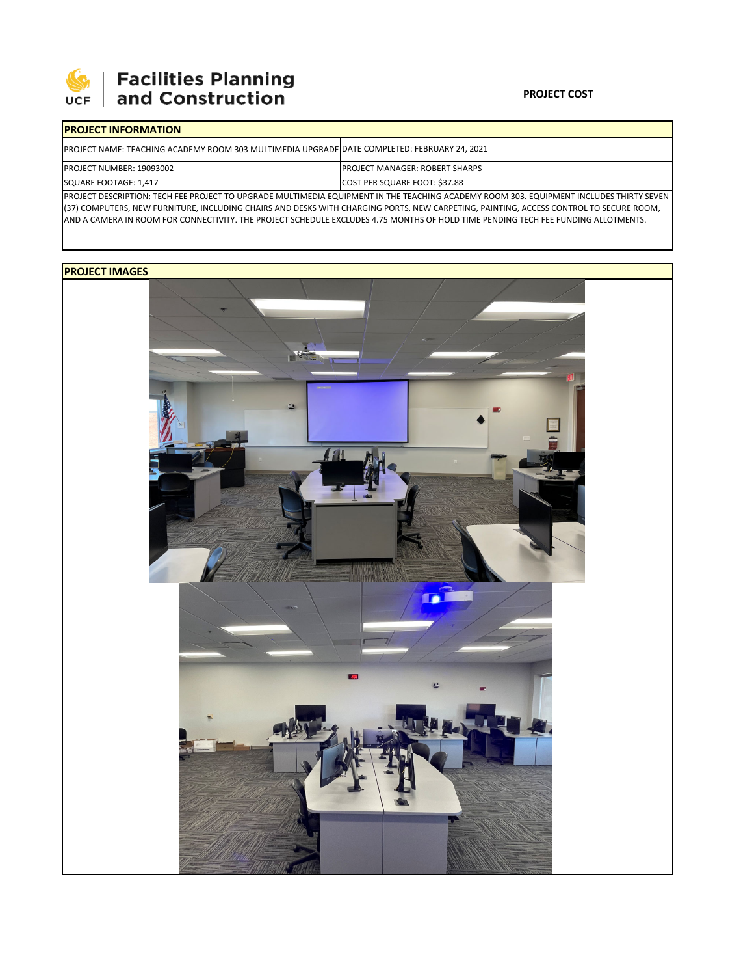

**SEPTE AND Facilities Planning**<br>UCF and Construction

## **PROJECT COST**

| <b>PROJECT INFORMATION</b>                                                                                                                 |                                        |  |  |  |  |
|--------------------------------------------------------------------------------------------------------------------------------------------|----------------------------------------|--|--|--|--|
| PROJECT NAME: TEACHING ACADEMY ROOM 303 MULTIMEDIA UPGRADE DATE COMPLETED: FEBRUARY 24, 2021                                               |                                        |  |  |  |  |
| PROJECT NUMBER: 19093002                                                                                                                   | <b>IPROJECT MANAGER: ROBERT SHARPS</b> |  |  |  |  |
| SQUARE FOOTAGE: 1,417                                                                                                                      | COST PER SQUARE FOOT: \$37.88          |  |  |  |  |
| IDDOIECT DECCDIDTION: TECH EEE DDOIECT TO HDCDADE MHITIMAEDIA EOHIDMAENT IN THE TEACHING ACADEMY DOOM 200 EOHIDMAENT INCHIDEC THIDTV CEVEN |                                        |  |  |  |  |

OJECT DESCRIPTION: TECH FEE PROJECT TO UPGRADE MULTIMEDIA EQUIPMENT IN THE TEACHING ACADEMY ROOM 303. EQUIPMENT INCLUDES THIRTY SEVE (37) COMPUTERS, NEW FURNITURE, INCLUDING CHAIRS AND DESKS WITH CHARGING PORTS, NEW CARPETING, PAINTING, ACCESS CONTROL TO SECURE ROOM, AND A CAMERA IN ROOM FOR CONNECTIVITY. THE PROJECT SCHEDULE EXCLUDES 4.75 MONTHS OF HOLD TIME PENDING TECH FEE FUNDING ALLOTMENTS.

## **PROJECT IMAGES**